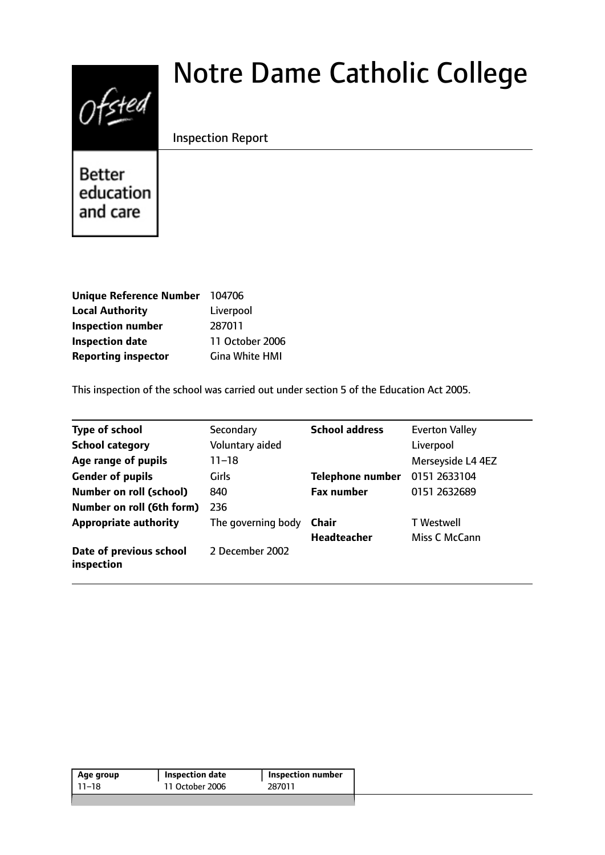# $0$ fsted

# Notre Dame Catholic College

Inspection Report

**Better** education and care

| Unique Reference Number 104706 |                       |
|--------------------------------|-----------------------|
| <b>Local Authority</b>         | Liverpool             |
| <b>Inspection number</b>       | 287011                |
| <b>Inspection date</b>         | 11 October 2006       |
| <b>Reporting inspector</b>     | <b>Gina White HMI</b> |

This inspection of the school was carried out under section 5 of the Education Act 2005.

| <b>Type of school</b>                 | Secondary          | <b>School address</b>   | <b>Everton Valley</b> |
|---------------------------------------|--------------------|-------------------------|-----------------------|
| <b>School category</b>                | Voluntary aided    |                         | Liverpool             |
| Age range of pupils                   | $11 - 18$          |                         | Merseyside L4 4EZ     |
| <b>Gender of pupils</b>               | Girls              | <b>Telephone number</b> | 0151 2633104          |
| <b>Number on roll (school)</b>        | 840                | <b>Fax number</b>       | 0151 2632689          |
| Number on roll (6th form)             | 236                |                         |                       |
| <b>Appropriate authority</b>          | The governing body | Chair                   | <b>T</b> Westwell     |
|                                       |                    | <b>Headteacher</b>      | Miss C McCann         |
| Date of previous school<br>inspection | 2 December 2002    |                         |                       |

| Age group | Inspection date | <b>Inspection number</b> |
|-----------|-----------------|--------------------------|
| 11–18     | 11 October 2006 | 287011                   |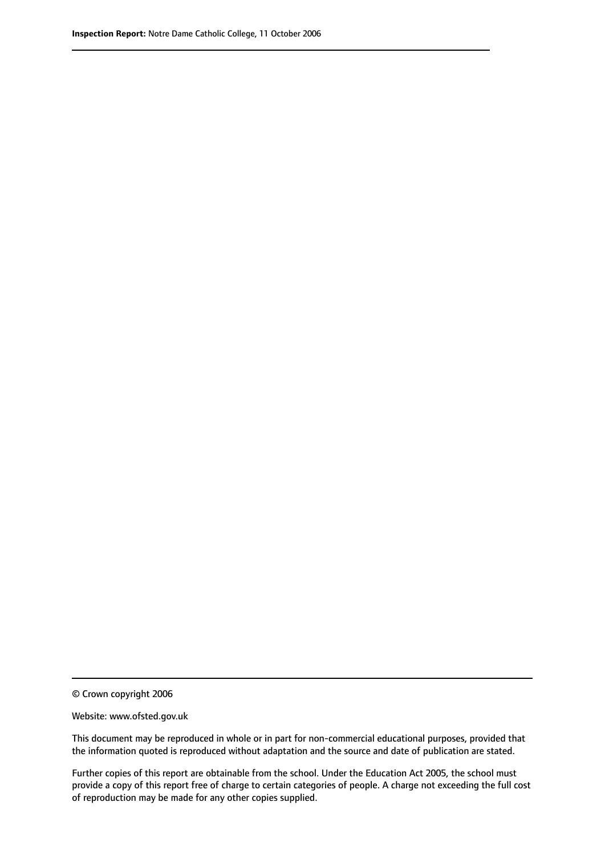© Crown copyright 2006

Website: www.ofsted.gov.uk

This document may be reproduced in whole or in part for non-commercial educational purposes, provided that the information quoted is reproduced without adaptation and the source and date of publication are stated.

Further copies of this report are obtainable from the school. Under the Education Act 2005, the school must provide a copy of this report free of charge to certain categories of people. A charge not exceeding the full cost of reproduction may be made for any other copies supplied.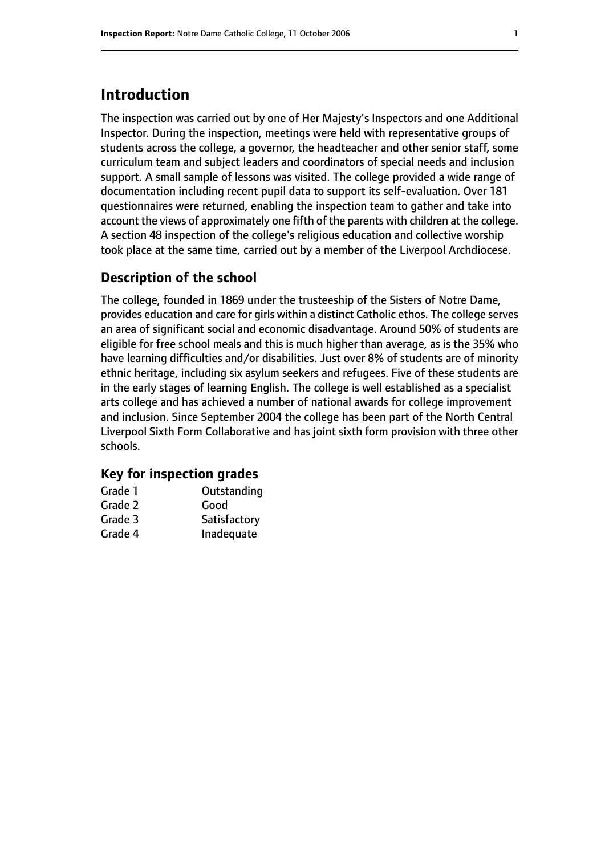# **Introduction**

The inspection was carried out by one of Her Majesty's Inspectors and one Additional Inspector. During the inspection, meetings were held with representative groups of students across the college, a governor, the headteacher and other senior staff, some curriculum team and subject leaders and coordinators of special needs and inclusion support. A small sample of lessons was visited. The college provided a wide range of documentation including recent pupil data to support its self-evaluation. Over 181 questionnaires were returned, enabling the inspection team to gather and take into account the views of approximately one fifth of the parents with children at the college. A section 48 inspection of the college's religious education and collective worship took place at the same time, carried out by a member of the Liverpool Archdiocese.

#### **Description of the school**

The college, founded in 1869 under the trusteeship of the Sisters of Notre Dame, provides education and care for girls within a distinct Catholic ethos. The college serves an area of significant social and economic disadvantage. Around 50% of students are eligible for free school meals and this is much higher than average, as is the 35% who have learning difficulties and/or disabilities. Just over 8% of students are of minority ethnic heritage, including six asylum seekers and refugees. Five of these students are in the early stages of learning English. The college is well established as a specialist arts college and has achieved a number of national awards for college improvement and inclusion. Since September 2004 the college has been part of the North Central Liverpool Sixth Form Collaborative and has joint sixth form provision with three other schools.

#### **Key for inspection grades**

| Grade 1 | Outstanding  |
|---------|--------------|
| Grade 2 | Good         |
| Grade 3 | Satisfactory |
| Grade 4 | Inadequate   |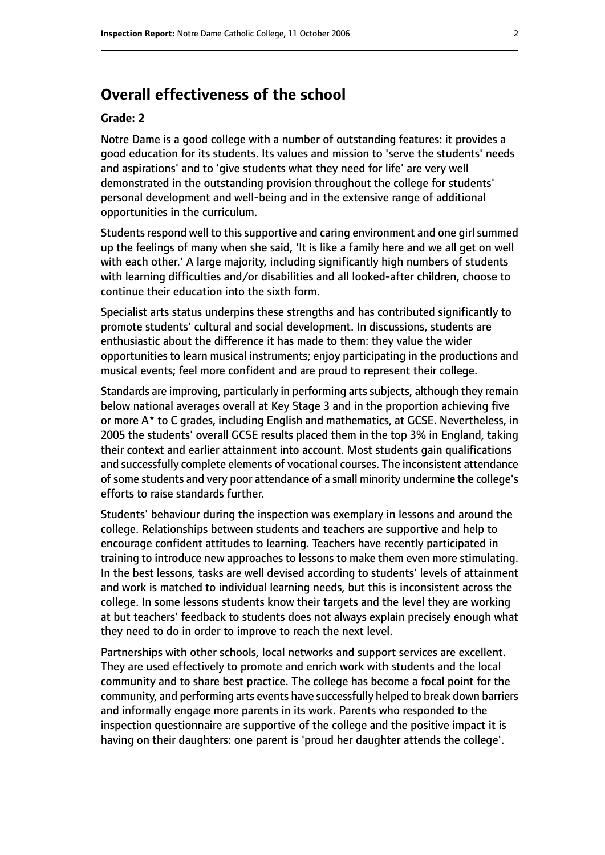# **Overall effectiveness of the school**

#### **Grade: 2**

Notre Dame is a good college with a number of outstanding features: it provides a good education for its students. Its values and mission to 'serve the students' needs and aspirations' and to 'give students what they need for life' are very well demonstrated in the outstanding provision throughout the college for students' personal development and well-being and in the extensive range of additional opportunities in the curriculum.

Students respond well to this supportive and caring environment and one girl summed up the feelings of many when she said, 'It is like a family here and we all get on well with each other.' A large majority, including significantly high numbers of students with learning difficulties and/or disabilities and all looked-after children, choose to continue their education into the sixth form.

Specialist arts status underpins these strengths and has contributed significantly to promote students' cultural and social development. In discussions, students are enthusiastic about the difference it has made to them: they value the wider opportunities to learn musical instruments; enjoy participating in the productions and musical events; feel more confident and are proud to represent their college.

Standards are improving, particularly in performing arts subjects, although they remain below national averages overall at Key Stage 3 and in the proportion achieving five or more A\* to C grades, including English and mathematics, at GCSE. Nevertheless, in 2005 the students' overall GCSE results placed them in the top 3% in England, taking their context and earlier attainment into account. Most students gain qualifications and successfully complete elements of vocational courses. The inconsistent attendance ofsome students and very poor attendance of a small minority undermine the college's efforts to raise standards further.

Students' behaviour during the inspection was exemplary in lessons and around the college. Relationships between students and teachers are supportive and help to encourage confident attitudes to learning. Teachers have recently participated in training to introduce new approaches to lessons to make them even more stimulating. In the best lessons, tasks are well devised according to students' levels of attainment and work is matched to individual learning needs, but this is inconsistent across the college. In some lessons students know their targets and the level they are working at but teachers' feedback to students does not always explain precisely enough what they need to do in order to improve to reach the next level.

Partnerships with other schools, local networks and support services are excellent. They are used effectively to promote and enrich work with students and the local community and to share best practice. The college has become a focal point for the community, and performing arts events have successfully helped to break down barriers and informally engage more parents in its work. Parents who responded to the inspection questionnaire are supportive of the college and the positive impact it is having on their daughters: one parent is 'proud her daughter attends the college'.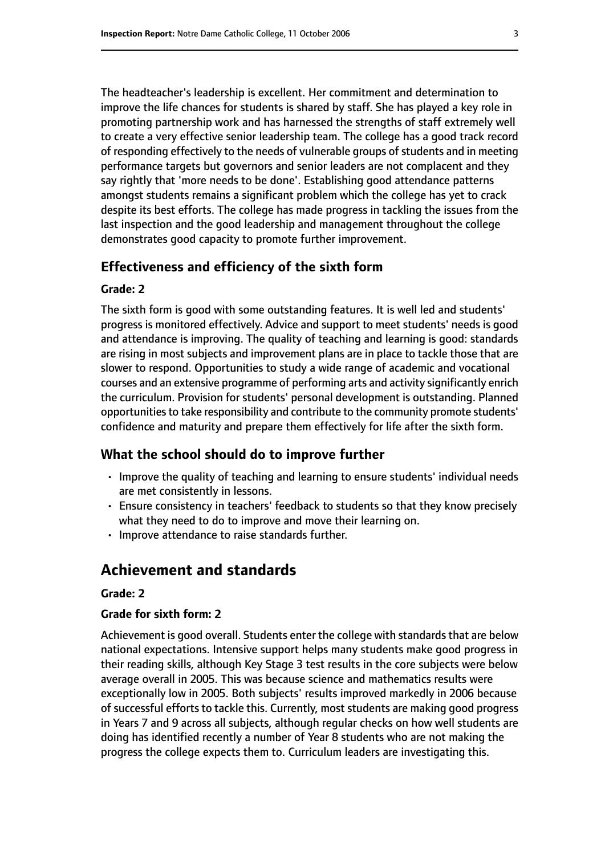The headteacher's leadership is excellent. Her commitment and determination to improve the life chances for students is shared by staff. She has played a key role in promoting partnership work and has harnessed the strengths of staff extremely well to create a very effective senior leadership team. The college has a good track record of responding effectively to the needs of vulnerable groups of students and in meeting performance targets but governors and senior leaders are not complacent and they say rightly that 'more needs to be done'. Establishing good attendance patterns amongst students remains a significant problem which the college has yet to crack despite its best efforts. The college has made progress in tackling the issues from the last inspection and the good leadership and management throughout the college demonstrates good capacity to promote further improvement.

#### **Effectiveness and efficiency of the sixth form**

#### **Grade: 2**

The sixth form is good with some outstanding features. It is well led and students' progress is monitored effectively. Advice and support to meet students' needs is good and attendance is improving. The quality of teaching and learning is good: standards are rising in most subjects and improvement plans are in place to tackle those that are slower to respond. Opportunities to study a wide range of academic and vocational courses and an extensive programme of performing arts and activity significantly enrich the curriculum. Provision for students' personal development is outstanding. Planned opportunities to take responsibility and contribute to the community promote students' confidence and maturity and prepare them effectively for life after the sixth form.

#### **What the school should do to improve further**

- Improve the quality of teaching and learning to ensure students' individual needs are met consistently in lessons.
- Ensure consistency in teachers' feedback to students so that they know precisely what they need to do to improve and move their learning on.
- Improve attendance to raise standards further.

# **Achievement and standards**

#### **Grade: 2**

#### **Grade for sixth form: 2**

Achievement is good overall. Students enter the college with standards that are below national expectations. Intensive support helps many students make good progress in their reading skills, although Key Stage 3 test results in the core subjects were below average overall in 2005. This was because science and mathematics results were exceptionally low in 2005. Both subjects' results improved markedly in 2006 because of successful efforts to tackle this. Currently, most students are making good progress in Years 7 and 9 across all subjects, although regular checks on how well students are doing has identified recently a number of Year 8 students who are not making the progress the college expects them to. Curriculum leaders are investigating this.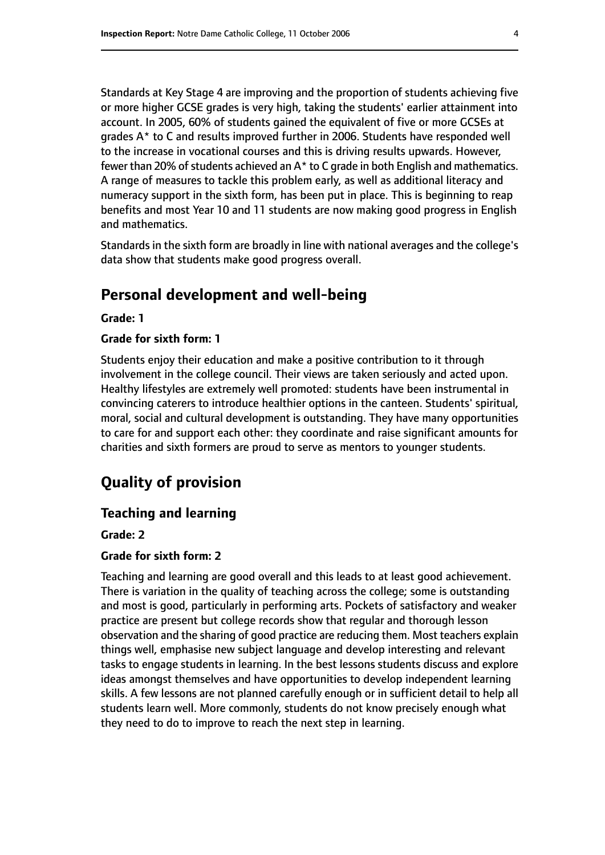Standards at Key Stage 4 are improving and the proportion of students achieving five or more higher GCSE grades is very high, taking the students' earlier attainment into account. In 2005, 60% of students gained the equivalent of five or more GCSEs at grades A\* to C and results improved further in 2006. Students have responded well to the increase in vocational courses and this is driving results upwards. However, fewer than 20% of students achieved an  $A^*$  to C grade in both English and mathematics. A range of measures to tackle this problem early, as well as additional literacy and numeracy support in the sixth form, has been put in place. This is beginning to reap benefits and most Year 10 and 11 students are now making good progress in English and mathematics.

Standards in the sixth form are broadly in line with national averages and the college's data show that students make good progress overall.

# **Personal development and well-being**

**Grade: 1**

#### **Grade for sixth form: 1**

Students enjoy their education and make a positive contribution to it through involvement in the college council. Their views are taken seriously and acted upon. Healthy lifestyles are extremely well promoted: students have been instrumental in convincing caterers to introduce healthier options in the canteen. Students' spiritual, moral, social and cultural development is outstanding. They have many opportunities to care for and support each other: they coordinate and raise significant amounts for charities and sixth formers are proud to serve as mentors to younger students.

# **Quality of provision**

#### **Teaching and learning**

#### **Grade: 2**

#### **Grade for sixth form: 2**

Teaching and learning are good overall and this leads to at least good achievement. There is variation in the quality of teaching across the college; some is outstanding and most is good, particularly in performing arts. Pockets of satisfactory and weaker practice are present but college records show that regular and thorough lesson observation and the sharing of good practice are reducing them. Most teachers explain things well, emphasise new subject language and develop interesting and relevant tasks to engage students in learning. In the best lessons students discuss and explore ideas amongst themselves and have opportunities to develop independent learning skills. A few lessons are not planned carefully enough or in sufficient detail to help all students learn well. More commonly, students do not know precisely enough what they need to do to improve to reach the next step in learning.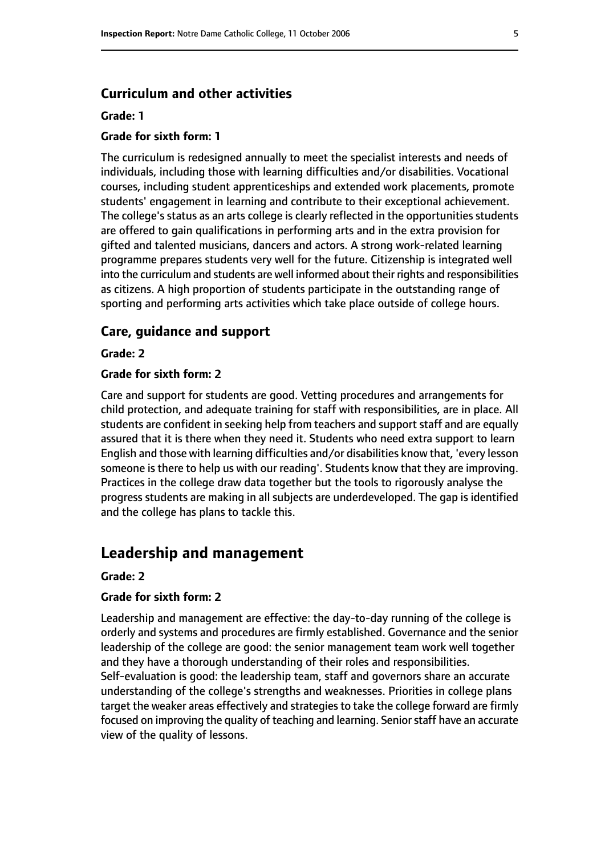#### **Curriculum and other activities**

#### **Grade: 1**

#### **Grade for sixth form: 1**

The curriculum is redesigned annually to meet the specialist interests and needs of individuals, including those with learning difficulties and/or disabilities. Vocational courses, including student apprenticeships and extended work placements, promote students' engagement in learning and contribute to their exceptional achievement. The college's status as an arts college is clearly reflected in the opportunities students are offered to gain qualifications in performing arts and in the extra provision for gifted and talented musicians, dancers and actors. A strong work-related learning programme prepares students very well for the future. Citizenship is integrated well into the curriculum and students are well informed about their rights and responsibilities as citizens. A high proportion of students participate in the outstanding range of sporting and performing arts activities which take place outside of college hours.

#### **Care, guidance and support**

**Grade: 2**

#### **Grade for sixth form: 2**

Care and support for students are good. Vetting procedures and arrangements for child protection, and adequate training for staff with responsibilities, are in place. All students are confident in seeking help from teachers and support staff and are equally assured that it is there when they need it. Students who need extra support to learn English and those with learning difficulties and/or disabilities know that, 'every lesson someone is there to help us with our reading'. Students know that they are improving. Practices in the college draw data together but the tools to rigorously analyse the progress students are making in all subjects are underdeveloped. The gap is identified and the college has plans to tackle this.

#### **Leadership and management**

#### **Grade: 2**

#### **Grade for sixth form: 2**

Leadership and management are effective: the day-to-day running of the college is orderly and systems and procedures are firmly established. Governance and the senior leadership of the college are good: the senior management team work well together and they have a thorough understanding of their roles and responsibilities. Self-evaluation is good: the leadership team, staff and governors share an accurate understanding of the college's strengths and weaknesses. Priorities in college plans target the weaker areas effectively and strategies to take the college forward are firmly focused on improving the quality of teaching and learning. Senior staff have an accurate view of the quality of lessons.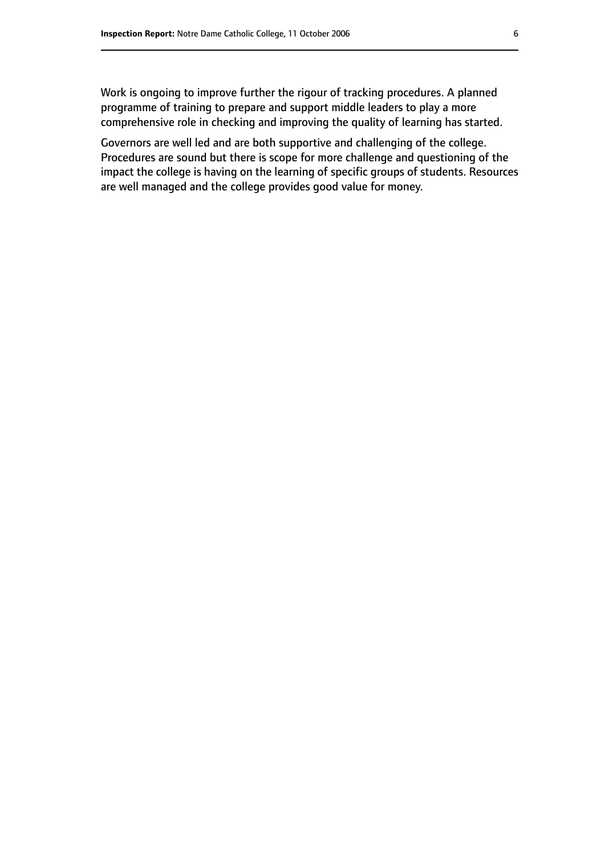Work is ongoing to improve further the rigour of tracking procedures. A planned programme of training to prepare and support middle leaders to play a more comprehensive role in checking and improving the quality of learning has started.

Governors are well led and are both supportive and challenging of the college. Procedures are sound but there is scope for more challenge and questioning of the impact the college is having on the learning of specific groups of students. Resources are well managed and the college provides good value for money.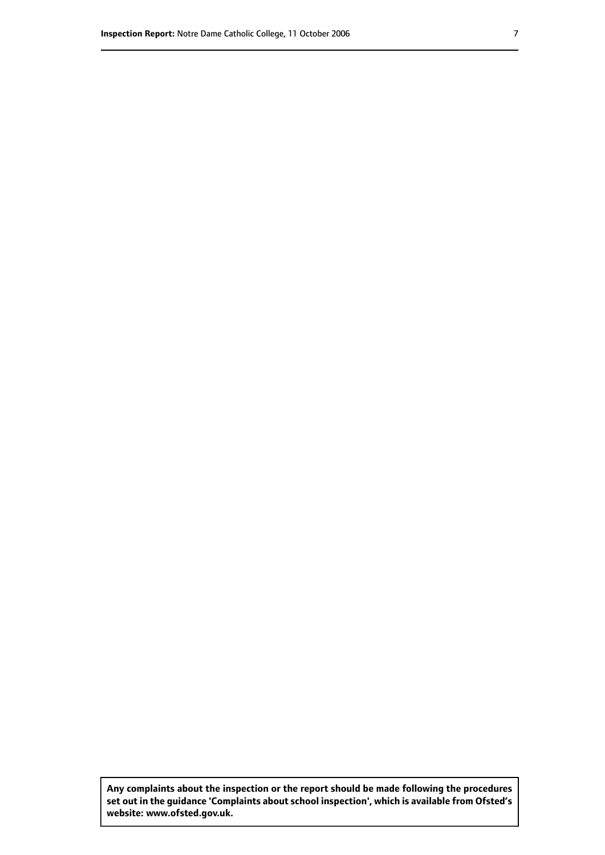**Any complaints about the inspection or the report should be made following the procedures set out inthe guidance 'Complaints about school inspection', whichis available from Ofsted's website: www.ofsted.gov.uk.**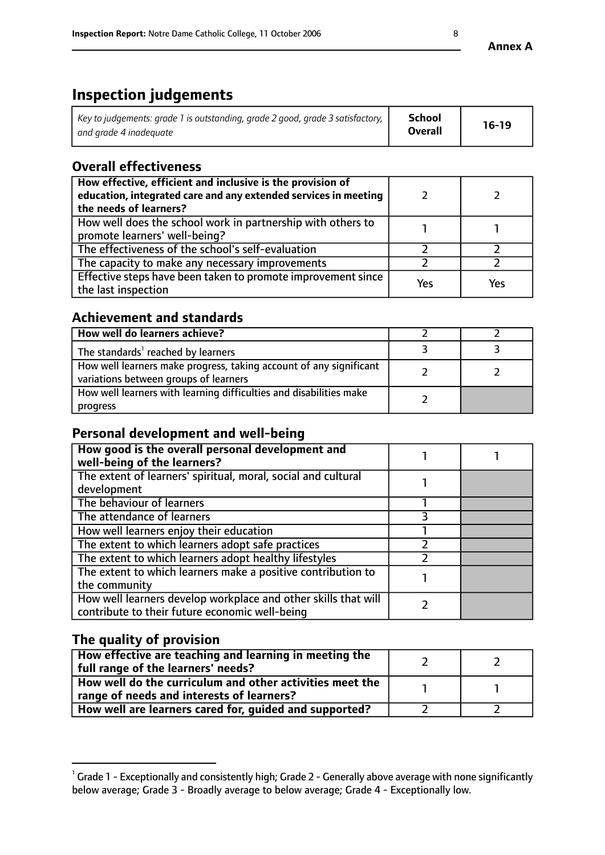# **Inspection judgements**

| Key to judgements: grade 1 is outstanding, grade 2 good, grade 3 satisfactory, $\parallel$ | <b>School</b>  | $16-19$ |
|--------------------------------------------------------------------------------------------|----------------|---------|
| and grade 4 inadeguate                                                                     | <b>Overall</b> |         |

# **Overall effectiveness**

| How effective, efficient and inclusive is the provision of<br>education, integrated care and any extended services in meeting<br>the needs of learners? |     |     |
|---------------------------------------------------------------------------------------------------------------------------------------------------------|-----|-----|
| How well does the school work in partnership with others to<br>promote learners' well-being?                                                            |     |     |
| The effectiveness of the school's self-evaluation                                                                                                       |     |     |
| The capacity to make any necessary improvements                                                                                                         |     |     |
| Effective steps have been taken to promote improvement since<br>the last inspection                                                                     | Yes | Yes |

### **Achievement and standards**

| How well do learners achieve?                                                                               |  |
|-------------------------------------------------------------------------------------------------------------|--|
| The standards <sup>1</sup> reached by learners                                                              |  |
| How well learners make progress, taking account of any significant<br>variations between groups of learners |  |
| How well learners with learning difficulties and disabilities make<br>progress                              |  |

# **Personal development and well-being**

| How good is the overall personal development and<br>well-being of the learners?                                  |  |
|------------------------------------------------------------------------------------------------------------------|--|
| The extent of learners' spiritual, moral, social and cultural<br>development                                     |  |
| The behaviour of learners                                                                                        |  |
| The attendance of learners                                                                                       |  |
| How well learners enjoy their education                                                                          |  |
| The extent to which learners adopt safe practices                                                                |  |
| The extent to which learners adopt healthy lifestyles                                                            |  |
| The extent to which learners make a positive contribution to<br>the community                                    |  |
| How well learners develop workplace and other skills that will<br>contribute to their future economic well-being |  |

# **The quality of provision**

| How effective are teaching and learning in meeting the<br>full range of the learners' needs?          |  |
|-------------------------------------------------------------------------------------------------------|--|
| How well do the curriculum and other activities meet the<br>range of needs and interests of learners? |  |
| How well are learners cared for, guided and supported?                                                |  |

 $^1$  Grade 1 - Exceptionally and consistently high; Grade 2 - Generally above average with none significantly below average; Grade 3 - Broadly average to below average; Grade 4 - Exceptionally low.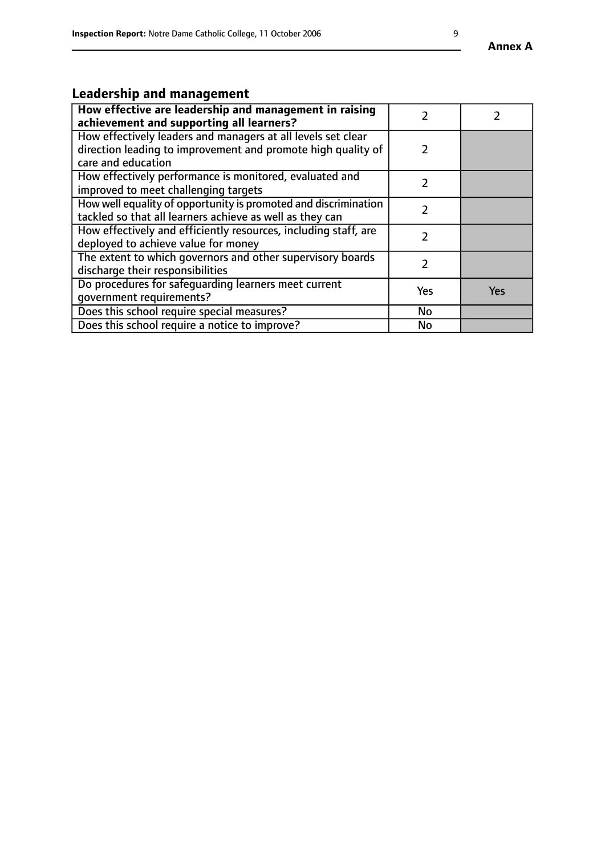# **Leadership and management**

| How effective are leadership and management in raising<br>achievement and supporting all learners?                                                 |     |            |
|----------------------------------------------------------------------------------------------------------------------------------------------------|-----|------------|
| How effectively leaders and managers at all levels set clear<br>direction leading to improvement and promote high quality of<br>care and education |     |            |
| How effectively performance is monitored, evaluated and<br>improved to meet challenging targets                                                    |     |            |
| How well equality of opportunity is promoted and discrimination<br>tackled so that all learners achieve as well as they can                        | 2   |            |
| How effectively and efficiently resources, including staff, are<br>deployed to achieve value for money                                             | 7   |            |
| The extent to which governors and other supervisory boards<br>discharge their responsibilities                                                     |     |            |
| Do procedures for safequarding learners meet current<br>qovernment requirements?                                                                   | Yes | <b>Yes</b> |
| Does this school require special measures?                                                                                                         | No  |            |
| Does this school require a notice to improve?                                                                                                      | No  |            |

**Annex A**